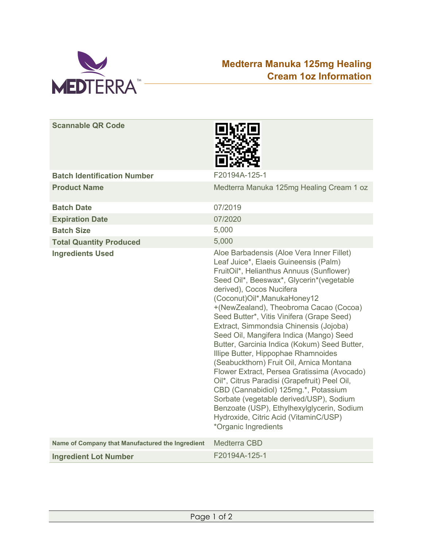

### **Medterra Manuka 125mg Healing Cream 1oz Information**

| <b>Scannable QR Code</b>                         |                                                                                                                                                                                                                                                                                                                                                                                                                                                                                                                                                                                                                                                                                                                                                                                                                                                        |
|--------------------------------------------------|--------------------------------------------------------------------------------------------------------------------------------------------------------------------------------------------------------------------------------------------------------------------------------------------------------------------------------------------------------------------------------------------------------------------------------------------------------------------------------------------------------------------------------------------------------------------------------------------------------------------------------------------------------------------------------------------------------------------------------------------------------------------------------------------------------------------------------------------------------|
| <b>Batch Identification Number</b>               | F20194A-125-1                                                                                                                                                                                                                                                                                                                                                                                                                                                                                                                                                                                                                                                                                                                                                                                                                                          |
| <b>Product Name</b>                              | Medterra Manuka 125mg Healing Cream 1 oz                                                                                                                                                                                                                                                                                                                                                                                                                                                                                                                                                                                                                                                                                                                                                                                                               |
| <b>Batch Date</b>                                | 07/2019                                                                                                                                                                                                                                                                                                                                                                                                                                                                                                                                                                                                                                                                                                                                                                                                                                                |
| <b>Expiration Date</b>                           | 07/2020                                                                                                                                                                                                                                                                                                                                                                                                                                                                                                                                                                                                                                                                                                                                                                                                                                                |
| <b>Batch Size</b>                                | 5,000                                                                                                                                                                                                                                                                                                                                                                                                                                                                                                                                                                                                                                                                                                                                                                                                                                                  |
| <b>Total Quantity Produced</b>                   | 5,000                                                                                                                                                                                                                                                                                                                                                                                                                                                                                                                                                                                                                                                                                                                                                                                                                                                  |
| <b>Ingredients Used</b>                          | Aloe Barbadensis (Aloe Vera Inner Fillet)<br>Leaf Juice*, Elaeis Guineensis (Palm)<br>FruitOil*, Helianthus Annuus (Sunflower)<br>Seed Oil*, Beeswax*, Glycerin*(vegetable<br>derived), Cocos Nucifera<br>(Coconut)Oil*, ManukaHoney12<br>+(NewZealand), Theobroma Cacao (Cocoa)<br>Seed Butter*, Vitis Vinifera (Grape Seed)<br>Extract, Simmondsia Chinensis (Jojoba)<br>Seed Oil, Mangifera Indica (Mango) Seed<br>Butter, Garcinia Indica (Kokum) Seed Butter,<br>Illipe Butter, Hippophae Rhamnoides<br>(Seabuckthorn) Fruit Oil, Arnica Montana<br>Flower Extract, Persea Gratissima (Avocado)<br>Oil*, Citrus Paradisi (Grapefruit) Peel Oil,<br>CBD (Cannabidiol) 125mg.*, Potassium<br>Sorbate (vegetable derived/USP), Sodium<br>Benzoate (USP), Ethylhexylglycerin, Sodium<br>Hydroxide, Citric Acid (VitaminC/USP)<br>*Organic Ingredients |
| Name of Company that Manufactured the Ingredient | Medterra CBD                                                                                                                                                                                                                                                                                                                                                                                                                                                                                                                                                                                                                                                                                                                                                                                                                                           |
| <b>Ingredient Lot Number</b>                     | F20194A-125-1                                                                                                                                                                                                                                                                                                                                                                                                                                                                                                                                                                                                                                                                                                                                                                                                                                          |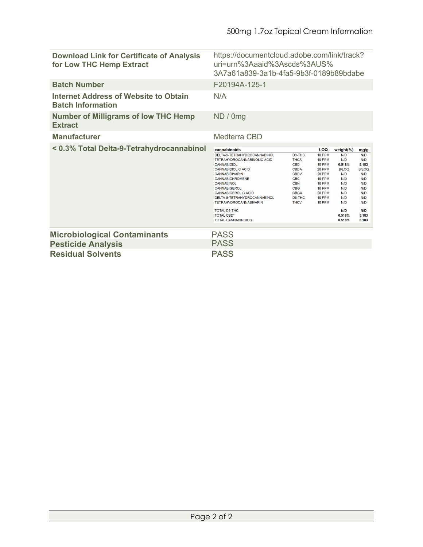| <b>Download Link for Certificate of Analysis</b><br>for Low THC Hemp Extract | https://documentcloud.adobe.com/link/track?<br>uri=urn%3Aaaid%3Ascds%3AUS%<br>3A7a61a839-3a1b-4fa5-9b3f-0189b89bdabe                                                                                                                                                                                                                                                             |                                                                                                                                                                       |                                                                                                                   |                                                                                                                               |                                                                                                                       |
|------------------------------------------------------------------------------|----------------------------------------------------------------------------------------------------------------------------------------------------------------------------------------------------------------------------------------------------------------------------------------------------------------------------------------------------------------------------------|-----------------------------------------------------------------------------------------------------------------------------------------------------------------------|-------------------------------------------------------------------------------------------------------------------|-------------------------------------------------------------------------------------------------------------------------------|-----------------------------------------------------------------------------------------------------------------------|
| <b>Batch Number</b>                                                          | F20194A-125-1                                                                                                                                                                                                                                                                                                                                                                    |                                                                                                                                                                       |                                                                                                                   |                                                                                                                               |                                                                                                                       |
| <b>Internet Address of Website to Obtain</b><br><b>Batch Information</b>     | N/A                                                                                                                                                                                                                                                                                                                                                                              |                                                                                                                                                                       |                                                                                                                   |                                                                                                                               |                                                                                                                       |
| <b>Number of Milligrams of low THC Hemp</b><br><b>Extract</b>                | ND / 0mg                                                                                                                                                                                                                                                                                                                                                                         |                                                                                                                                                                       |                                                                                                                   |                                                                                                                               |                                                                                                                       |
| <b>Manufacturer</b>                                                          | Medterra CBD                                                                                                                                                                                                                                                                                                                                                                     |                                                                                                                                                                       |                                                                                                                   |                                                                                                                               |                                                                                                                       |
| < 0.3% Total Delta-9-Tetrahydrocannabinol                                    | cannabinoids<br>DELTA-9-TETRAHYDROCANNABINOL<br>TETRAHYDROCANNABINOLIC ACID<br><b>CANNABIDIOL</b><br><b>CANNABIDIOLIC ACID</b><br>CANNABIDIVARIN<br><b>CANNABICHROMENE</b><br><b>CANNABINOL</b><br>CANNABIGEROL<br>CANNABIGEROLIC ACID<br>DELTA-8-TETRAHYDROCANNABINOL<br><b>TETRAHYDROCANNABIVARIN</b><br><b>TOTAL D9-THC</b><br><b>TOTAL CBD*</b><br><b>TOTAL CANNABINOIDS</b> | D <sub>9</sub> -TH <sub>C</sub><br><b>THCA</b><br><b>CBD</b><br><b>CBDA</b><br><b>CBDV</b><br>CBC<br><b>CBN</b><br><b>CBG</b><br><b>CBGA</b><br>D8-THC<br><b>THCV</b> | LOQ<br>10 PPM<br>10 PPM<br>10 PPM<br>20 PPM<br>20 PPM<br>10 PPM<br>10 PPM<br>10 PPM<br>20 PPM<br>10 PPM<br>10 PPM | weight(%)<br>N/D<br>N/D<br>0.518%<br><b>B/LOQ</b><br>N/D<br>N/D<br>N/D<br>N/D<br>N/D<br>N/D<br>N/D<br>N/D<br>0.518%<br>0.518% | mg/g<br>N/D<br>N/D<br>5.183<br><b>B/LOQ</b><br>N/D<br>N/D<br>N/D<br>N/D<br>N/D<br>N/D<br>N/D<br>N/D<br>5.183<br>5.183 |
| <b>Microbiological Contaminants</b>                                          | <b>PASS</b>                                                                                                                                                                                                                                                                                                                                                                      |                                                                                                                                                                       |                                                                                                                   |                                                                                                                               |                                                                                                                       |
| <b>Pesticide Analysis</b>                                                    | <b>PASS</b>                                                                                                                                                                                                                                                                                                                                                                      |                                                                                                                                                                       |                                                                                                                   |                                                                                                                               |                                                                                                                       |
| <b>Residual Solvents</b>                                                     | <b>PASS</b>                                                                                                                                                                                                                                                                                                                                                                      |                                                                                                                                                                       |                                                                                                                   |                                                                                                                               |                                                                                                                       |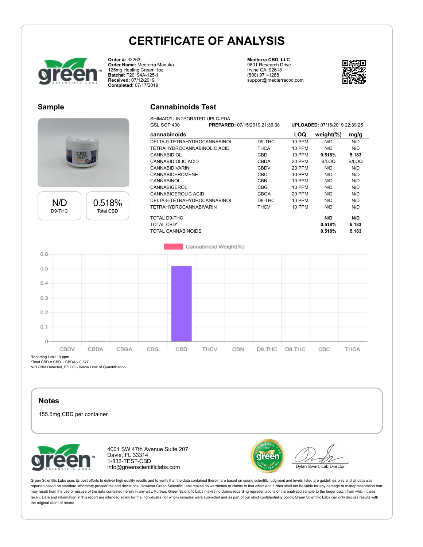

**Order #:** 33263 **Order Name:** Medterra Manuka 125mg Healing Cream 1oz **Batch#:** F20194A-125-1 **Received:** 07/12/2019 **Completed:** 07/17/2019

#### **Medterra CBD, LLC** 9801 Research Drive Irvine CA, 92618 (800) 971-1288 support@medterracbd.com



### **Sample**





| <b>Cannabinoids Test</b> |  |  |
|--------------------------|--|--|
|--------------------------|--|--|

| SHIMADZU INTEGRATED UPLC-PDA |
|------------------------------|
|                              |

| GSL SOP 400                   | <b>PREPARED: 07/15/2019 21:36:38</b> |             |               | <b>UPLOADED: 07/16/2019 22:39:25</b> |              |
|-------------------------------|--------------------------------------|-------------|---------------|--------------------------------------|--------------|
| cannabinoids                  |                                      |             | LOQ           | weight $(\%)$                        | mg/g         |
| DELTA-9-TETRAHYDROCANNABINOL  |                                      | D9-THC      | <b>10 PPM</b> | N/D                                  | N/D          |
| TETRAHYDROCANNABINOLIC ACID   |                                      | <b>THCA</b> | <b>10 PPM</b> | N/D                                  | N/D          |
| <b>CANNABIDIOL</b>            |                                      | CBD         | 10 PPM        | 0.518%                               | 5.183        |
| CANNABIDIOLIC ACID            |                                      | CBDA        | 20 PPM        | B/LOQ                                | <b>B/LOQ</b> |
| <b>CANNABIDIVARIN</b>         |                                      | <b>CBDV</b> | 20 PPM        | N/D                                  | N/D          |
| CANNABICHROMENE               |                                      | CBC         | <b>10 PPM</b> | N/D                                  | N/D          |
| CANNABINOL                    |                                      | <b>CBN</b>  | 10 PPM        | N/D                                  | N/D          |
| CANNABIGEROL                  |                                      | CBG         | 10 PPM        | N/D                                  | N/D          |
| CANNABIGEROLIC ACID           |                                      | CBGA        | 20 PPM        | N/D                                  | N/D          |
| DELTA-8-TETRAHYDROCANNABINOL  |                                      | D8-THC      | 10 PPM        | N/D                                  | N/D          |
| <b>TETRAHYDROCANNABIVARIN</b> |                                      | <b>THCV</b> | 10 PPM        | N/D                                  | N/D          |
| TOTAL D9-THC                  |                                      |             |               | N/D                                  | N/D          |
| <b>TOTAL CBD*</b>             |                                      |             |               | 0.518%                               | 5.183        |
| TOTAL CANNABINOIDS            |                                      |             |               | 0.518%                               | 5.183        |



Reporting Limit 10 ppm

\*Total CBD = CBD + CBDA x 0.877 N/D - Not Detected, B/LOQ - Below Limit of Quantification

### **Notes**

155.5mg CBD per container



4001 SW 47th Avenue Suite 207 Davie, FL 33314 1-833-TEST-CBD info@greenscientificlabs.com



Dylan Swart, Lab Director

Green Scientific Labs uses its best efforts to deliver high quality results and to verify that the data contained therein are based on sound scientific judgment and levels listed are guidelines only and all data was reported based on standard laboratory procedures and deviations. However Green Scientific Labs makes no warranties or claims to that effect and further shall not be liable for any damage or misrepresentation that may result from the use or misuse of the data contained herein in any way. Further, Green Scientific Labs makes no claims regarding representations of the analyzed sample to the larger batch from which it was taken. Data and information in this report are intended solely for the individual(s) for whom samples were submitted and as part of our strict confidentiality policy, Green Scientific Labs can only discuss results with the original client of record.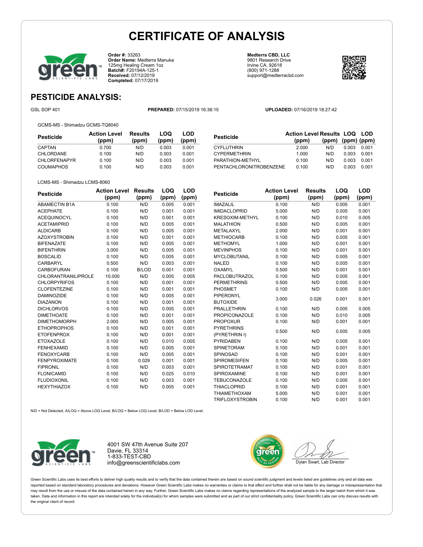

**Order #:** 33263 **Order Name:** Medterra Manuka 125mg Healing Cream 1oz **Batch#:** F20194A-125-1 **Received:** 07/12/2019 **Completed:** 07/17/2019

**Medterra CBD, LLC** 9801 Research Drive Irvine CA, 92618 (800) 971-1288 support@medterracbd.com



**LOQ**

### **PESTICIDE ANALYSIS:**

GSL SOP 401 **PREPARED:** 07/15/2019 16:36:15 **UPLOADED:** 07/16/2019 18:27:42

GCMS-MS - Shimadzu GCMS-TQ8040

| Pesticide           | <b>Action Level</b><br>(ppm) | <b>Results</b><br>(ppm) | LOQ<br>(ppm) | LOD<br>(ppm) |
|---------------------|------------------------------|-------------------------|--------------|--------------|
| CAPTAN              | 0.700                        | N/D                     | 0.003        | 0.001        |
| CHLORDANE           | 0.100                        | N/D                     | 0.003        | 0.001        |
| <b>CHLORFENAPYR</b> | 0.100                        | N/D                     | 0.003        | 0.001        |
| COUMAPHOS           | 0.100                        | N/D                     | 0.003        | 0.001        |
|                     |                              |                         |              |              |

| <b>Pesticide</b>        | <b>Action Level Results LOQ LOD</b> |                         |       |       |
|-------------------------|-------------------------------------|-------------------------|-------|-------|
|                         | (ppm)                               | $(ppm)$ $(ppm)$ $(ppm)$ |       |       |
| <b>CYFLUTHRIN</b>       | 2.000                               | N/D                     | 0.003 | 0.001 |
| <b>CYPERMETHRIN</b>     | 1.000                               | N/D                     | 0.003 | 0.001 |
| PARATHION-METHYL        | 0.100                               | N/D                     | 0.003 | 0.001 |
| PENTACHLORONITROBENZENE | 0.100                               | N/D                     | 0.003 | 0.001 |

#### LCMS-MS - Shimadzu LCMS-8060

| <b>Pesticide</b>           | <b>Action Level</b> | <b>Results</b> | LOQ   | LOD   |
|----------------------------|---------------------|----------------|-------|-------|
|                            | (ppm)               | (ppm)          | (ppm) | (ppm) |
| <b>ABAMECTIN B1A</b>       | 0.100               | N/D            | 0.005 | 0.001 |
| <b>ACEPHATE</b>            | 0.100               | N/D            | 0.001 | 0.001 |
| <b>ACEQUINOCYL</b>         | 0.100               | N/D            | 0.001 | 0.001 |
| <b>ACETAMIPRID</b>         | 0.100               | N/D            | 0.005 | 0.001 |
| <b>ALDICARB</b>            | 0.100               | N/D            | 0.005 | 0.001 |
| <b>AZOXYSTROBIN</b>        | 0.100               | N/D            | 0.001 | 0.001 |
| <b>BIFENAZATE</b>          | 0.100               | N/D            | 0.005 | 0.001 |
| <b>BIFENTHRIN</b>          | 3.000               | N/D            | 0.005 | 0.001 |
| <b>BOSCALID</b>            | 0.100               | N/D            | 0.005 | 0.001 |
| CARBARYL                   | 0.500               | N/D            | 0.003 | 0.001 |
| <b>CARBOFURAN</b>          | 0.100               | <b>B/LOD</b>   | 0.001 | 0.001 |
| <b>CHLORANTRANILIPROLE</b> | 10.000              | N/D            | 0.005 | 0.005 |
| <b>CHLORPYRIFOS</b>        | 0.100               | N/D            | 0.001 | 0.001 |
| <b>CLOFENTEZINE</b>        | 0.100               | N/D            | 0.001 | 0.001 |
| <b>DAMINOZIDE</b>          | 0.100               | N/D            | 0.005 | 0.001 |
| <b>DIAZANON</b>            | 0.100               | N/D            | 0.001 | 0.001 |
| <b>DICHLORVOS</b>          | 0.100               | N/D            | 0.005 | 0.001 |
| <b>DIMETHOATE</b>          | 0.100               | N/D            | 0.001 | 0.001 |
| <b>DIMETHOMORPH</b>        | 2.000               | N/D            | 0.005 | 0.001 |
| <b>ETHOPROPHOS</b>         | 0.100               | N/D            | 0.001 | 0.001 |
| <b>ETOFENPROX</b>          | 0.100               | N/D            | 0.001 | 0.001 |
| <b>ETOXAZOLE</b>           | 0.100               | N/D            | 0.010 | 0.005 |
| <b>FENHEXAMID</b>          | 0.100               | N/D            | 0.005 | 0.001 |
| <b>FENOXYCARB</b>          | 0.100               | N/D            | 0.005 | 0.001 |
| <b>FENPYROXIMATE</b>       | 0.100               | 0.029          | 0.001 | 0.001 |
| <b>FIPRONIL</b>            | 0.100               | N/D            | 0.003 | 0.001 |
| <b>FLONICAMID</b>          | 0.100               | N/D            | 0.025 | 0.010 |
| <b>FLUDIOXONIL</b>         | 0.100               | N/D            | 0.003 | 0.001 |
| <b>HEXYTHIAZOX</b>         | 0.100               | N/D            | 0.005 | 0.001 |

| Pesticide              | <b>Action Level</b> | <b>Results</b> | LOQ   | LOD   |
|------------------------|---------------------|----------------|-------|-------|
|                        | (ppm)               | (ppm)          | (ppm) | (ppm) |
| <b>IMAZALIL</b>        | 0.100               | N/D            | 0.005 | 0.001 |
| <b>IMIDACLOPRID</b>    | 5.000               | N/D            | 0.005 | 0.001 |
| <b>KRESOXIM-METHYL</b> | 0.100               | N/D            | 0.010 | 0.005 |
| <b>MALATHION</b>       | 0.500               | N/D            | 0.005 | 0.001 |
| METALAXYL              | 2.000               | N/D            | 0.001 | 0.001 |
| <b>METHIOCARB</b>      | 0.100               | N/D            | 0.005 | 0.001 |
| <b>METHOMYL</b>        | 1.000               | N/D            | 0.001 | 0.001 |
| <b>MEVINPHOS</b>       | 0.100               | N/D            | 0.001 | 0.001 |
| <b>MYCLOBUTANIL</b>    | 0.100               | N/D            | 0.005 | 0.001 |
| <b>NALED</b>           | 0.100               | N/D            | 0.005 | 0.001 |
| <b>OXAMYL</b>          | 0.500               | N/D            | 0.001 | 0.001 |
| <b>PACLOBUTRAZOL</b>   | 0.100               | N/D            | 0.005 | 0.001 |
| <b>PERMETHRINS</b>     | 0.500               | N/D            | 0.005 | 0.001 |
| PHOSMET                | 0.100               | N/D            | 0.005 | 0.001 |
| PIPERONYL              | 3.000               | 0.026          | 0.001 | 0.001 |
| <b>BUTOXIDE</b>        |                     |                |       |       |
| <b>PRALLETHRIN</b>     | 0.100               | N/D            | 0.005 | 0.005 |
| <b>PROPICONAZOLE</b>   | 0.100               | N/D            | 0.010 | 0.005 |
| <b>PROPOXUR</b>        | 0.100               | N/D            | 0.001 | 0.001 |
| <b>PYRETHRINS</b>      | 0.500               | N/D            | 0.005 | 0.005 |
| (PYRETHRIN I)          |                     |                |       |       |
| PYRIDABEN              | 0.100               | N/D            | 0.005 | 0.001 |
| <b>SPINETORAM</b>      | 0.100               | N/D            | 0.001 | 0.001 |
| SPINOSAD               | 0.100               | N/D            | 0.001 | 0.001 |
| <b>SPIROMESIFEN</b>    | 0.100               | N/D            | 0.005 | 0.001 |
| <b>SPIROTETRAMAT</b>   | 0.100               | N/D            | 0.001 | 0.001 |
| SPIROXAMINE            | 0.100               | N/D            | 0.001 | 0.001 |
| <b>TEBUCONAZOLE</b>    | 0.100               | N/D            | 0.005 | 0.001 |
| <b>THIACLOPRID</b>     | 0.100               | N/D            | 0.001 | 0.001 |
| <b>THIAMETHOXAM</b>    | 5.000               | N/D            | 0.001 | 0.001 |
| <b>TRIFLOXYSTROBIN</b> | 0.100               | N/D            | 0.001 | 0.001 |

N/D = Not Detected, A/LOQ = Above LOQ Level, B/LOQ = Below LOQ Level, B/LOD = Below LOD Level



4001 SW 47th Avenue Suite 207 Davie, FL 33314 1-833-TEST-CBD info@greenscientificlabs.com



Green Scientific Labs uses its best efforts to deliver high quality results and to verify that the data contained therein are based on sound scientific judgment and levels listed are guidelines only and all data was reported based on standard laboratory procedures and deviations. However Green Scientific Labs makes no warranties or claims to that effect and further shall not be liable for any damage or misrepresentation that may result from the use or misuse of the data contained herein in any way. Further, Green Scientific Labs makes no claims regarding representations of the analyzed sample to the larger batch from which it was taken. Data and information in this report are intended solely for the individual(s) for whom samples were submitted and as part of our strict confidentiality policy, Green Scientific Labs can only discuss results with the original client of record.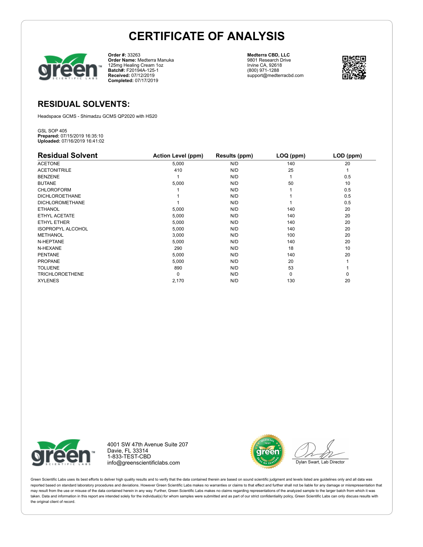

**Order #:** 33263 **Order Name:** Medterra Manuka 125mg Healing Cream 1oz **Batch#:** F20194A-125-1 **Received:** 07/12/2019 **Completed:** 07/17/2019

**Medterra CBD, LLC** 9801 Research Drive Irvine CA, 92618 (800) 971-1288 support@medterracbd.com



### **RESIDUAL SOLVENTS:**

Headspace GCMS - Shimadzu GCMS QP2020 with HS20

GSL SOP 405 **Prepared:** 07/15/2019 16:35:10 **Uploaded:** 07/16/2019 16:41:02

| <b>Residual Solvent</b>  | <b>Action Level (ppm)</b> | Results (ppm) | LOQ (ppm) | LOD (ppm) |
|--------------------------|---------------------------|---------------|-----------|-----------|
| <b>ACETONE</b>           | 5,000                     | N/D           | 140       | 20        |
| <b>ACETONITRILE</b>      | 410                       | N/D           | 25        |           |
| <b>BENZENE</b>           |                           | N/D           |           | 0.5       |
| <b>BUTANE</b>            | 5,000                     | N/D           | 50        | 10        |
| <b>CHLOROFORM</b>        |                           | N/D           |           | 0.5       |
| <b>DICHLOROETHANE</b>    |                           | N/D           |           | 0.5       |
| <b>DICHLOROMETHANE</b>   |                           | N/D           |           | 0.5       |
| <b>ETHANOL</b>           | 5,000                     | N/D           | 140       | 20        |
| ETHYL ACETATE            | 5,000                     | N/D           | 140       | 20        |
| ETHYL ETHER              | 5,000                     | N/D           | 140       | 20        |
| <b>ISOPROPYL ALCOHOL</b> | 5,000                     | N/D           | 140       | 20        |
| <b>METHANOL</b>          | 3,000                     | N/D           | 100       | 20        |
| N-HEPTANE                | 5,000                     | N/D           | 140       | 20        |
| N-HEXANE                 | 290                       | N/D           | 18        | 10        |
| <b>PENTANE</b>           | 5,000                     | N/D           | 140       | 20        |
| <b>PROPANE</b>           | 5,000                     | N/D           | 20        |           |
| <b>TOLUENE</b>           | 890                       | N/D           | 53        |           |
| <b>TRICHLOROETHENE</b>   | 0                         | N/D           | $\Omega$  | 0         |
| <b>XYLENES</b>           | 2,170                     | N/D           | 130       | 20        |



4001 SW 47th Avenue Suite 207 Davie, FL 33314 1-833-TEST-CBD info@greenscientificlabs.com



Green Scientific Labs uses its best efforts to deliver high quality results and to verify that the data contained therein are based on sound scientific judgment and levels listed are guidelines only and all data was reported based on standard laboratory procedures and deviations. However Green Scientific Labs makes no warranties or claims to that effect and further shall not be liable for any damage or misrepresentation that may result from the use or misuse of the data contained herein in any way. Further, Green Scientific Labs makes no claims regarding representations of the analyzed sample to the larger batch from which it was taken. Data and information in this report are intended solely for the individual(s) for whom samples were submitted and as part of our strict confidentiality policy, Green Scientific Labs can only discuss results with the original client of record.